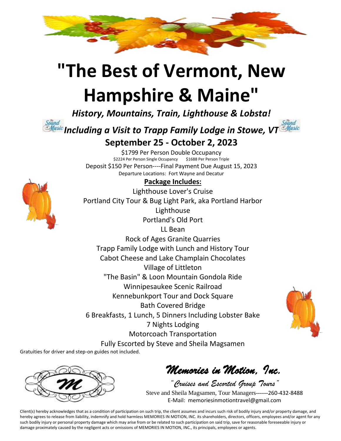

# **"The Best of Vermont, New Hampshire & Maine"**

*History, Mountains, Train, Lighthouse & Lobsta!*



\$1799 Per Person Double Occupancy<br>24 Per Person Single Occupancy \$1688 Per Person Triple \$2224 Per Person Single Occupancy Deposit \$150 Per Person----Final Payment Due August 15, 2023 Departure Locations: Fort Wayne and Decatur

### **Package Includes:**

Lighthouse Lover's Cruise Portland City Tour & Bug Light Park, aka Portland Harbor Lighthouse Portland's Old Port LL Bean Rock of Ages Granite Quarries Trapp Family Lodge with Lunch and History Tour Cabot Cheese and Lake Champlain Chocolates Village of Littleton "The Basin" & Loon Mountain Gondola Ride Winnipesaukee Scenic Railroad Kennebunkport Tour and Dock Square Bath Covered Bridge 6 Breakfasts, 1 Lunch, 5 Dinners Including Lobster Bake 7 Nights Lodging Motorcoach Transportation Fully Escorted by Steve and Sheila Magsamen



Gratuities for driver and step-on guides not included.



*Memories in Motion, Inc.* 

*"Cruises and Escorted Group Tours"* Steve and Sheila Magsamen, Tour Managers------260-432-8488 E-Mail: memoriesinmotiontravel@gmail.com

Client(s) hereby acknowledges that as a condition of participation on such trip, the client assumes and incurs such risk of bodily injury and/or property damage, and hereby agrees to release from liability, indemnify and hold harmless MEMORIES IN MOTION, INC. its shareholders, directors, officers, employees and/or agent for any such bodily injury or personal property damage which may arise from or be related to such participation on said trip, save for reasonable foreseeable injury or damage proximately caused by the negligent acts or omissions of MEMORIES IN MOTION, INC., its principals, employees or agents.

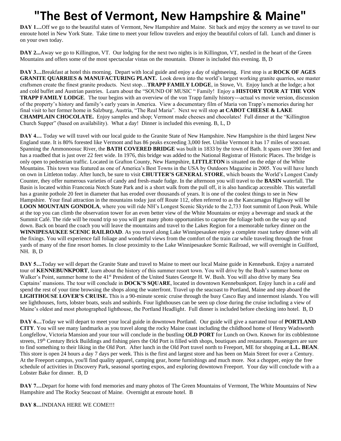## **"The Best of Vermont, New Hampshire & Maine"**

**DAY 1…**Off we go to the beautiful states of Vermont, New Hampshire and Maine. Sit back and enjoy the scenery as we travel to our enroute hotel in New York State. Take time to meet your fellow travelers and enjoy the beautiful colors of fall. Lunch and dinner is on your own today.

**DAY 2...**Away we go to Killington, VT. Our lodging for the next two nights is in Killington, VT, nestled in the heart of the Green Mountains and offers some of the most spectacular vistas on the mountain. Dinner is included this evening. B, D

**DAY 3…**Breakfast at hotel this morning. Depart with local guide and enjoy a day of sightseeing. First stop is at **ROCK OF AGES GRANITE QUARRIES & MANUFACTURING PLANT.** Look down into the world's largest working granite quarries, see master craftsmen create the finest granite products. Next stop…**TRAPP FAMILY LODGE**, in Stowe, Vt. Enjoy lunch at the lodge; a hot and cold buffet and Austrian pastries. Learn about the "SOUND OF MUSIC " Family! Enjoy a **HISTORY TOUR AT THE VON TRAPP FAMILY LODGE**. The tour begins with an overview of the von Trapp family history---actual vs movie version, discussion of the property's history and family's early years in America. View a documentary film of Maria von Trapp's memories during her final visit to her former home in Salzburg, Austria, "The Real Maria". Next we will stop **at CABOT CHEESE & LAKE CHAMPLAIN CHOCOLATE.** Enjoy samples and shop; Vermont made cheeses and chocolates! Full dinner at the "Killington Church Supper" (based on availability). What a day! Dinner is included this evening. B, L, D

**DAY 4…** Today we will travel with our local guide to the Granite State of New Hampshire. New Hampshire is the third largest New England state. It is 80% forested like Vermont and has 86 peaks exceeding 3,000 feet. Unlike Vermont it has 17 miles of seacoast. Spanning the Ammonoosuc River, the **BATH COVERED BRIDGE** was built in 1833 by the town of Bath. It spans over 390 feet and has a roadbed that is just over 22 feet wide. In 1976, this bridge was added to the National Registrar of Historic Places. The bridge is only open to pedestrian traffic. Located in Grafton County, New Hampshire, **LITTLETON** is situated on the edge of the White Mountains. This town was featured as one of America's Best Towns in the USA by Outdoors Magazine in 2005. You will have lunch on own in Littleton today. After lunch, be sure to visit **CHUTTER'S GENERAL STORE**, which boasts the World's Longest Candy Counter, they offer numerous varieties of candy and fresh-made fudge. In the afternoon you will travel to the **BASIN** waterfall. The Basin is located within Franconia Notch State Park and is a short walk from the pull off, it is also handicap accessible. This waterfall has a granite pothole 20 feet in diameter that has eroded over thousands of years. It is one of the coolest things to see in New Hampshire. Your final attraction in the mountains today just off Route 112, often referred to as the Kancamagus Highway will be **LOON MOUNTAIN GONDOLA**, where you will ride NH's Longest Scenic Skyride to the 2,733 foot summit of Loon Peak. While at the top you can climb the observation tower for an even better view of the White Mountains or enjoy a beverage and snack at the Summit Café. The ride will be round trip so you will get many photo opportunities to capture the foliage both on the way up and down. Back on board the coach you will leave the mountains and travel to the Lakes Region for a memorable turkey dinner on the **WINNIPESAUKEE SCENIC RAILROAD**. As you travel along Lake Winnipesaukee enjoy a complete roast turkey dinner with all the fixings. You will experience fall foliage and wonderful views from the comfort of the train car while traveling through the front yards of many of the fine resort homes. In close proximity to the Lake Winnipesaukee Scenic Railroad, we will overnight in Guilford, NH. B, D

**DAY 5…**Today we will depart the Granite State and travel to Maine to meet our local Maine guide in Kennebunk. Enjoy a narrated tour of **KENNEBUNKPORT**, learn about the history of this summer resort town. You will drive by the Bush's summer home on Walker's Point, summer home to the 41<sup>st</sup> President of the United States George H. W. Bush. You will also drive by many Sea Captains' mansions. The tour will conclude in **DOCK'S SQUARE**, located in downtown Kennebunkport. Enjoy lunch in a café and spend the rest of your time browsing the shops along the waterfront. Travel up the seacoast to Portland, Maine and step aboard the **LIGHTHOUSE LOVER'S CRUISE.** This is a 90-minute scenic cruise through the busy Casco Bay and innermost islands. You will see lighthouses, forts, lobster boats, seals and seabirds. Four lighthouses can be seen up close during the cruise including a view of Maine's oldest and most photographed lighthouse, the Portland Headlight. Full dinner is included before checking into hotel. B, D

**DAY 6…**Today we will depart to meet your local guide in downtown Portland. Our guide will give a narrated tour of **PORTLAND CITY**. You will see many landmarks as you travel along the rocky Maine coast including the childhood home of Henry Wadsworth Longfellow, Victoria Mansion and your tour will conclude in the bustling **OLD PORT** for Lunch on Own. Known for its cobblestone streets, 19<sup>th</sup> Century Brick Buildings and fishing piers the Old Port is filled with shops, boutiques and restaurants. Passengers are sure to find something to their liking in the Old Port. After lunch in the Old Port travel north to Freeport, ME for shopping at **L.L. BEAN**. This store is open 24 hours a day 7 days per week. This is the first and largest store and has been on Main Street for over a Century. At the Freeport campus, you'll find quality apparel, camping gear, home furnishings and much more. Not a chopper, enjoy the free schedule of activities in Discovery Park, seasonal sporting expos, and exploring downtown Freeport. Your day will conclude with a a Lobster Bake for dinner. B, D

**DAY 7…**Depart for home with fond memories and many photos of The Green Mountains of Vermont, The White Mountains of New Hampshire and The Rocky Seacoast of Maine. Overnight at enroute hotel. B

**DAY 8…**INDIANA HERE WE COME!!!